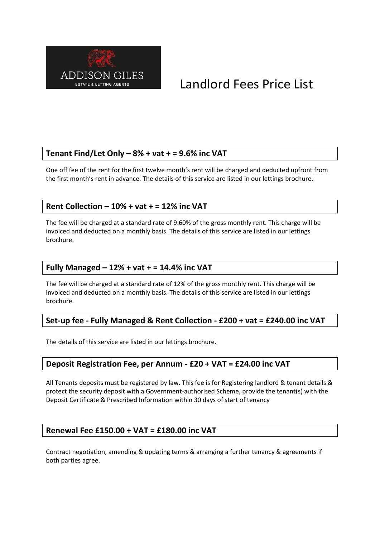

# Landlord Fees Price List

#### **Tenant Find/Let Only – 8% + vat + = 9.6% inc VAT**

One off fee of the rent for the first twelve month's rent will be charged and deducted upfront from the first month's rent in advance. The details of this service are listed in our lettings brochure.

#### **Rent Collection – 10% + vat + = 12% inc VAT**

The fee will be charged at a standard rate of 9.60% of the gross monthly rent. This charge will be invoiced and deducted on a monthly basis. The details of this service are listed in our lettings brochure.

#### **Fully Managed – 12% + vat + = 14.4% inc VAT**

The fee will be charged at a standard rate of 12% of the gross monthly rent. This charge will be invoiced and deducted on a monthly basis. The details of this service are listed in our lettings brochure.

#### **Set-up fee - Fully Managed & Rent Collection - £200 + vat = £240.00 inc VAT**

The details of this service are listed in our lettings brochure.

#### **Deposit Registration Fee, per Annum - £20 + VAT = £24.00 inc VAT**

All Tenants deposits must be registered by law. This fee is for Registering landlord & tenant details & protect the security deposit with a Government-authorised Scheme, provide the tenant(s) with the Deposit Certificate & Prescribed Information within 30 days of start of tenancy

#### **Renewal Fee £150.00 + VAT = £180.00 inc VAT**

Contract negotiation, amending & updating terms & arranging a further tenancy & agreements if both parties agree.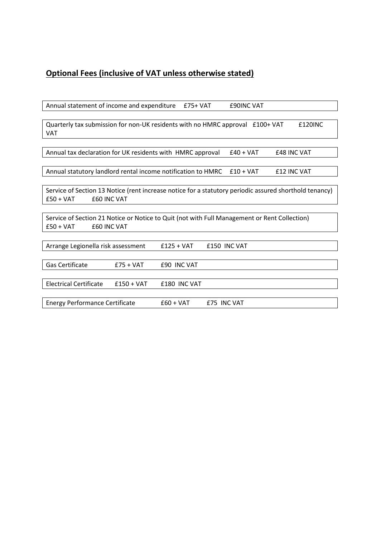## **Optional Fees (inclusive of VAT unless otherwise stated)**

| Annual statement of income and expenditure<br><b>£90INC VAT</b><br>$£75+VAT$                           |  |  |  |  |
|--------------------------------------------------------------------------------------------------------|--|--|--|--|
|                                                                                                        |  |  |  |  |
| Quarterly tax submission for non-UK residents with no HMRC approval £100+ VAT<br>£120INC               |  |  |  |  |
| VAT                                                                                                    |  |  |  |  |
|                                                                                                        |  |  |  |  |
| Annual tax declaration for UK residents with HMRC approval<br>$£40 + VAT$<br><b>£48 INC VAT</b>        |  |  |  |  |
|                                                                                                        |  |  |  |  |
| Annual statutory landlord rental income notification to HMRC<br>$£10 + VAT$<br><b>£12 INC VAT</b>      |  |  |  |  |
|                                                                                                        |  |  |  |  |
| Service of Section 13 Notice (rent increase notice for a statutory periodic assured shorthold tenancy) |  |  |  |  |
| <b>EGO INC VAT</b><br>$£50 + VAT$                                                                      |  |  |  |  |
|                                                                                                        |  |  |  |  |
| Service of Section 21 Notice or Notice to Quit (not with Full Management or Rent Collection)           |  |  |  |  |
| <b>£60 INC VAT</b><br>$£50 + VAT$                                                                      |  |  |  |  |
|                                                                                                        |  |  |  |  |
| £150 INC VAT<br>Arrange Legionella risk assessment<br>$£125 + VAT$                                     |  |  |  |  |
|                                                                                                        |  |  |  |  |
| Gas Certificate<br>$£75 + VAT$<br><b>£90 INC VAT</b>                                                   |  |  |  |  |
|                                                                                                        |  |  |  |  |
| <b>Electrical Certificate</b><br>£180 INC VAT<br>$£150 + VAT$                                          |  |  |  |  |
|                                                                                                        |  |  |  |  |
| <b>Energy Performance Certificate</b><br><b>£75 INC VAT</b><br>$£60 + VAT$                             |  |  |  |  |